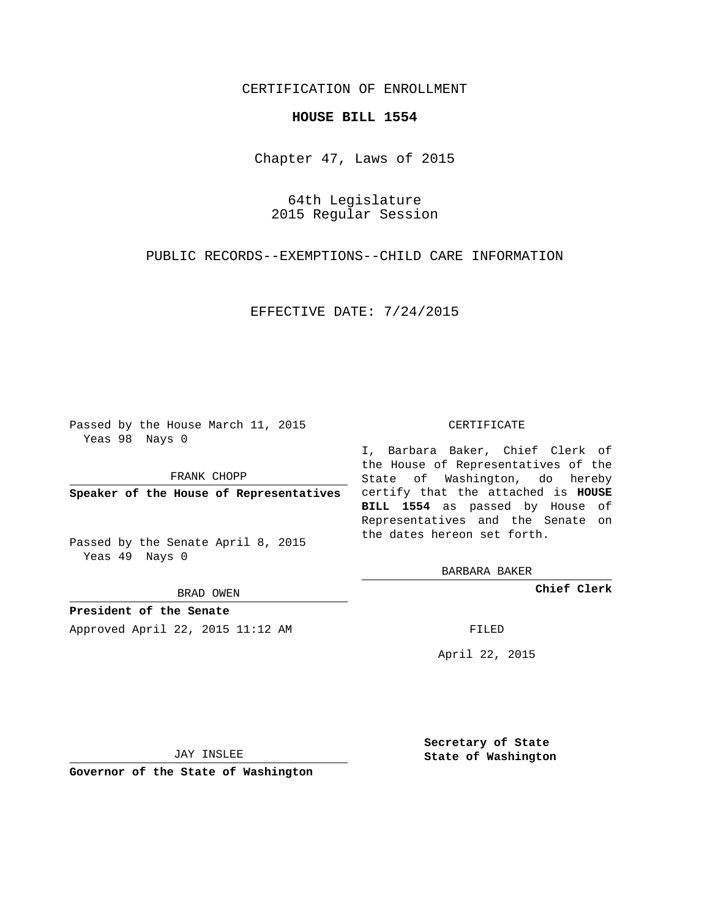## CERTIFICATION OF ENROLLMENT

## **HOUSE BILL 1554**

Chapter 47, Laws of 2015

64th Legislature 2015 Regular Session

PUBLIC RECORDS--EXEMPTIONS--CHILD CARE INFORMATION

EFFECTIVE DATE: 7/24/2015

Passed by the House March 11, 2015 Yeas 98 Nays 0

FRANK CHOPP

Passed by the Senate April 8, 2015 Yeas 49 Nays 0

BRAD OWEN

**President of the Senate**

Approved April 22, 2015 11:12 AM FILED

## CERTIFICATE

**Speaker of the House of Representatives** certify that the attached is **HOUSE** I, Barbara Baker, Chief Clerk of the House of Representatives of the State of Washington, do hereby **BILL 1554** as passed by House of Representatives and the Senate on the dates hereon set forth.

BARBARA BAKER

**Chief Clerk**

April 22, 2015

JAY INSLEE

**Governor of the State of Washington**

**Secretary of State State of Washington**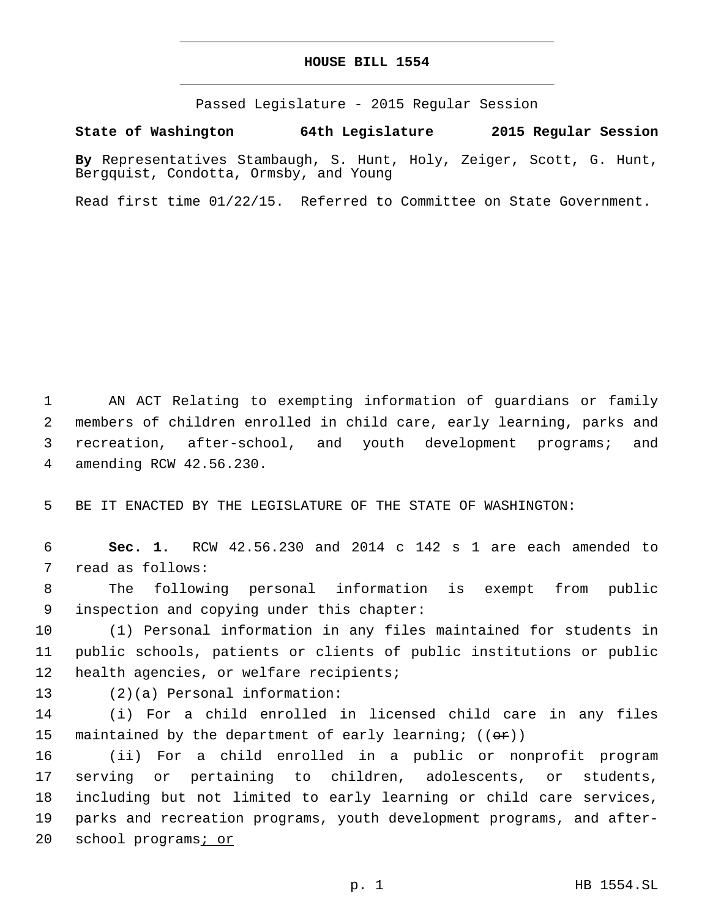## **HOUSE BILL 1554**

Passed Legislature - 2015 Regular Session

**State of Washington 64th Legislature 2015 Regular Session**

**By** Representatives Stambaugh, S. Hunt, Holy, Zeiger, Scott, G. Hunt, Bergquist, Condotta, Ormsby, and Young

Read first time 01/22/15. Referred to Committee on State Government.

1 AN ACT Relating to exempting information of guardians or family 2 members of children enrolled in child care, early learning, parks and 3 recreation, after-school, and youth development programs; and amending RCW 42.56.230.4

5 BE IT ENACTED BY THE LEGISLATURE OF THE STATE OF WASHINGTON:

6 **Sec. 1.** RCW 42.56.230 and 2014 c 142 s 1 are each amended to 7 read as follows:

8 The following personal information is exempt from public 9 inspection and copying under this chapter:

10 (1) Personal information in any files maintained for students in 11 public schools, patients or clients of public institutions or public 12 health agencies, or welfare recipients;

13 (2)(a) Personal information:

14 (i) For a child enrolled in licensed child care in any files 15 maintained by the department of early learning;  $((\theta \cdot \mathbf{r}))$ 

 (ii) For a child enrolled in a public or nonprofit program serving or pertaining to children, adolescents, or students, including but not limited to early learning or child care services, parks and recreation programs, youth development programs, and after-20 school programs*i* or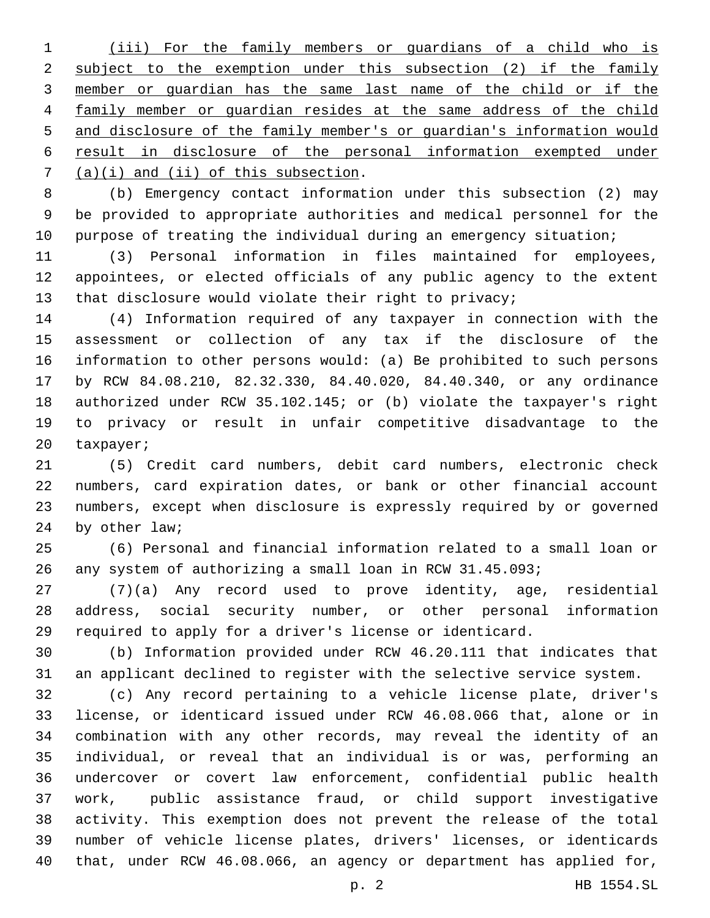(iii) For the family members or guardians of a child who is subject to the exemption under this subsection (2) if the family member or guardian has the same last name of the child or if the family member or guardian resides at the same address of the child and disclosure of the family member's or guardian's information would result in disclosure of the personal information exempted under  $(1)$   $(a)(i)$  and  $(ii)$  of this subsection.

 (b) Emergency contact information under this subsection (2) may be provided to appropriate authorities and medical personnel for the 10 purpose of treating the individual during an emergency situation;

 (3) Personal information in files maintained for employees, appointees, or elected officials of any public agency to the extent 13 that disclosure would violate their right to privacy;

 (4) Information required of any taxpayer in connection with the assessment or collection of any tax if the disclosure of the information to other persons would: (a) Be prohibited to such persons by RCW 84.08.210, 82.32.330, 84.40.020, 84.40.340, or any ordinance authorized under RCW 35.102.145; or (b) violate the taxpayer's right to privacy or result in unfair competitive disadvantage to the 20 taxpayer;

 (5) Credit card numbers, debit card numbers, electronic check numbers, card expiration dates, or bank or other financial account numbers, except when disclosure is expressly required by or governed 24 by other law;

 (6) Personal and financial information related to a small loan or any system of authorizing a small loan in RCW 31.45.093;

 (7)(a) Any record used to prove identity, age, residential address, social security number, or other personal information required to apply for a driver's license or identicard.

 (b) Information provided under RCW 46.20.111 that indicates that an applicant declined to register with the selective service system.

 (c) Any record pertaining to a vehicle license plate, driver's license, or identicard issued under RCW 46.08.066 that, alone or in combination with any other records, may reveal the identity of an individual, or reveal that an individual is or was, performing an undercover or covert law enforcement, confidential public health work, public assistance fraud, or child support investigative activity. This exemption does not prevent the release of the total number of vehicle license plates, drivers' licenses, or identicards that, under RCW 46.08.066, an agency or department has applied for,